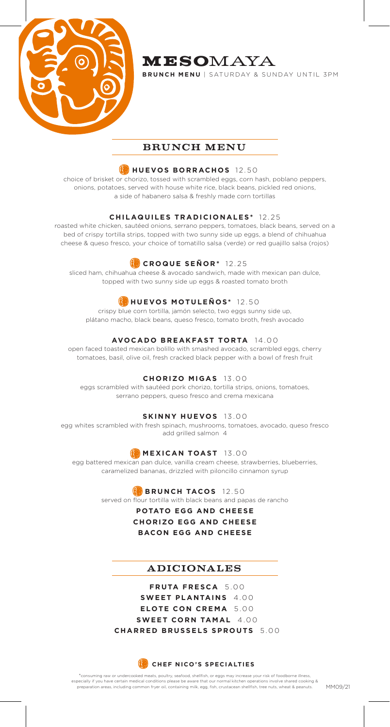

# MESOMAYA

**BRUNCH MENU** | SATURDAY & SUNDAY UNTIL 3PM

## BRUNCH MENU

## **HUEVOS BORRACHOS** 12.50

choice of brisket or chorizo, tossed with scrambled eggs, corn hash, poblano peppers, onions, potatoes, served with house white rice, black beans, pickled red onions, a side of habanero salsa & freshly made corn tortillas

### **CHILAQUILES TRADICIONALES\*** 12.25

roasted white chicken, sautéed onions, serrano peppers, tomatoes, black beans, served on a bed of crispy tortilla strips, topped with two sunny side up eggs, a blend of chihuahua cheese & queso fresco, your choice of tomatillo salsa (verde) or red guajillo salsa (rojos)

## **CROQUE SEÑOR \*** 12.25

sliced ham, chihuahua cheese & avocado sandwich, made with mexican pan dulce, topped with two sunny side up eggs & roasted tomato broth

## **HUEVOS MOTULEÑOS\*** 12.50

crispy blue corn tortilla, jamón selecto, two eggs sunny side up, plátano macho, black beans, queso fresco, tomato broth, fresh avocado

## **AVOCADO BREAKFAST TORTA** 14.00

open faced toasted mexican bolillo with smashed avocado, scrambled eggs, cherry tomatoes, basil, olive oil, fresh cracked black pepper with a bowl of fresh fruit

### **CHORIZO MIGAS** 13.00

eggs scrambled with sautéed pork chorizo, tortilla strips, onions, tomatoes, serrano peppers, queso fresco and crema mexicana

### **SKINNY HUEVOS** 13.00

egg whites scrambled with fresh spinach, mushrooms, tomatoes, avocado, queso fresco add grilled salmon 4

## **MEXICAN TOAST** 13.00

egg battered mexican pan dulce, vanilla cream cheese, strawberries, blueberries, caramelized bananas, drizzled with piloncillo cinnamon syrup

# **BRUNCH TACOS** 12.50

served on flour tortilla with black beans and papas de rancho

#### **POTATO EGG AND CHEESE**

**CHORIZO EGG AND CHEESE BACON EGG AND CHEESE**

## ADICIONALES

**FRUTA FRESCA** 5.00 **SWEET PLANTAINS** 4.00 **ELOTE CON CREMA** 5.00 **SWEET CORN TAMAL** 4.00 **CHARRED BRUSSELS SPROUTS** 5.00

**CHEF NICO'S SPECIALTIES** 

\*consuming raw or undercooked meats, poultry, seafood, shellfish, or eggs may increase your risk of foodborne illness, especially if you have certain medical conditions please be aware that our normal kitchen operations involve shared cooking &<br>preparation areas, including common fryer oil, containing milk, egg, fish, crustacean shellfish,

MM09/21